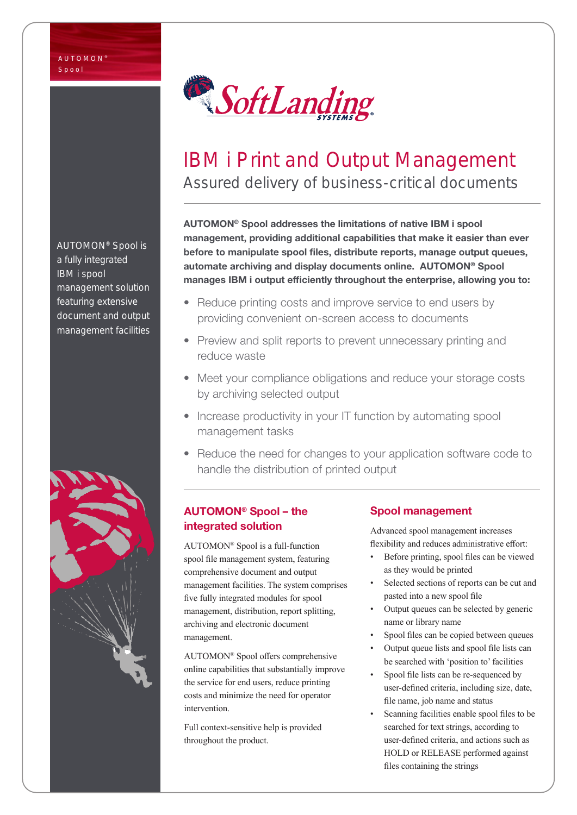

# IBM i Print and Output Management Assured delivery of business-critical documents

AUTOMON® Spool addresses the limitations of native IBM i spool management, providing additional capabilities that make it easier than ever before to manipulate spool files, distribute reports, manage output queues, automate archiving and display documents online. AUTOMON® Spool manages IBM i output efficiently throughout the enterprise, allowing you to:

- Reduce printing costs and improve service to end users by providing convenient on-screen access to documents
- Preview and split reports to prevent unnecessary printing and reduce waste
- Meet your compliance obligations and reduce your storage costs by archiving selected output
- Increase productivity in your IT function by automating spool management tasks
- Reduce the need for changes to your application software code to handle the distribution of printed output

## AUTOMON® Spool – the integrated solution

AUTOMON® Spool is a full-function spool file management system, featuring comprehensive document and output management facilities. The system comprises five fully integrated modules for spool management, distribution, report splitting, archiving and electronic document management.

AUTOMON® Spool offers comprehensive online capabilities that substantially improve the service for end users, reduce printing costs and minimize the need for operator intervention.

Full context-sensitive help is provided throughout the product.

## Spool management

Advanced spool management increases flexibility and reduces administrative effort:

- Before printing, spool files can be viewed as they would be printed
- Selected sections of reports can be cut and pasted into a new spool file
- Output queues can be selected by generic name or library name
- Spool files can be copied between queues
- Output queue lists and spool file lists can be searched with 'position to' facilities
- Spool file lists can be re-sequenced by user-defined criteria, including size, date, file name, job name and status
- Scanning facilities enable spool files to be searched for text strings, according to user-defined criteria, and actions such as HOLD or RELEASE performed against files containing the strings

AUTOMON® Spool is a fully integrated IBM i spool management solution featuring extensive document and output management facilities